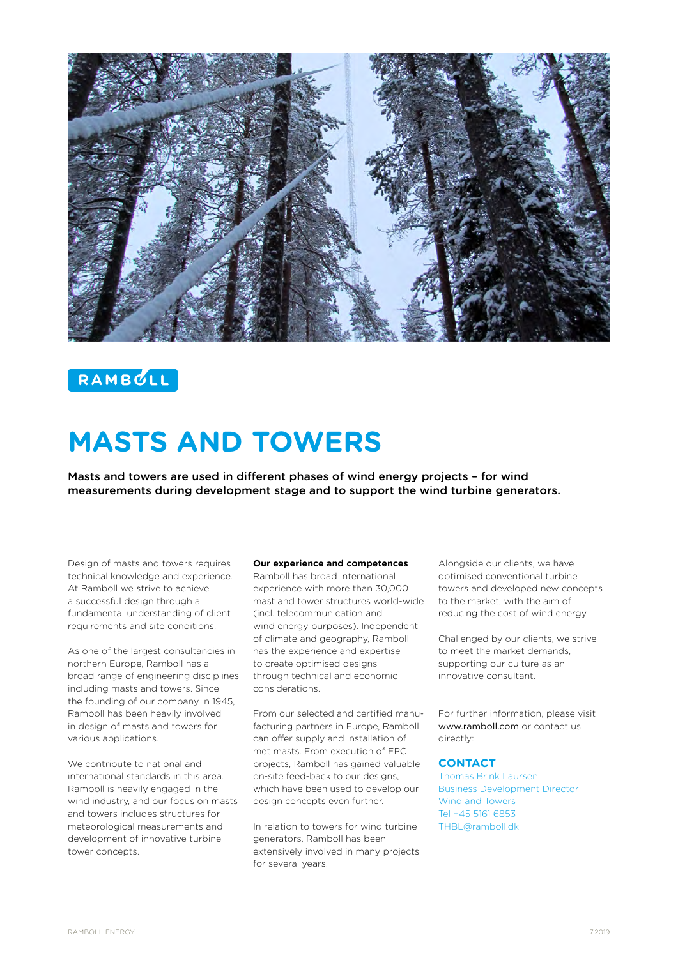

# RAMBCLL

# **MASTS AND TOWERS**

Masts and towers are used in different phases of wind energy projects – for wind measurements during development stage and to support the wind turbine generators.

Design of masts and towers requires technical knowledge and experience. At Ramboll we strive to achieve a successful design through a fundamental understanding of client requirements and site conditions.

As one of the largest consultancies in northern Europe, Ramboll has a broad range of engineering disciplines including masts and towers. Since the founding of our company in 1945, Ramboll has been heavily involved in design of masts and towers for various applications.

We contribute to national and international standards in this area. Ramboll is heavily engaged in the wind industry, and our focus on masts and towers includes structures for meteorological measurements and development of innovative turbine tower concepts.

#### **Our experience and competences**

Ramboll has broad international experience with more than 30,000 mast and tower structures world-wide (incl. telecommunication and wind energy purposes). Independent of climate and geography, Ramboll has the experience and expertise to create optimised designs through technical and economic considerations.

From our selected and certified manufacturing partners in Europe, Ramboll can offer supply and installation of met masts. From execution of EPC projects, Ramboll has gained valuable on-site feed-back to our designs, which have been used to develop our design concepts even further.

In relation to towers for wind turbine generators, Ramboll has been extensively involved in many projects for several years.

Alongside our clients, we have optimised conventional turbine towers and developed new concepts to the market, with the aim of reducing the cost of wind energy.

Challenged by our clients, we strive to meet the market demands, supporting our culture as an innovative consultant.

For further information, please visit www.ramboll.com or contact us directly:

#### **CONTACT**

Thomas Brink Laursen Business Development Director Wind and Towers Tel +45 5161 6853 THBL@ramboll.dk